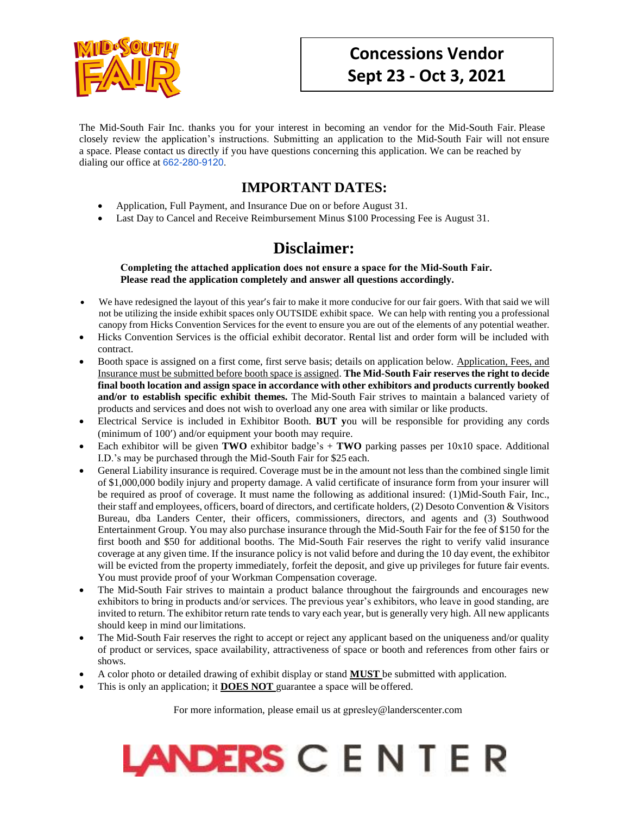

The Mid-South Fair Inc. thanks you for your interest in becoming an vendor for the Mid-South Fair. Please closely review the application's instructions. Submitting an application to the Mid-South Fair will not ensure a space. Please contact us directly if you have questions concerning this application. We can be reached by dialing our office at 662-280-[9120](tel:(662)%20470-2102).

## **IMPORTANT DATES:**

- Application, Full Payment, and Insurance Due on or before August 31.
- Last Day to Cancel and Receive Reimbursement Minus \$100 Processing Fee is August 31.

## **Disclaimer:**

**Completing the attached application does not ensure a space for the Mid-South Fair. Please read the application completely and answer all questions accordingly.** 

- We have redesigned the layout of this year's fair to make it more conducive for our fair goers. With that said we will not be utilizing the inside exhibit spaces only OUTSIDE exhibit space. We can help with renting you a professional canopy from Hicks Convention Services for the event to ensure you are out of the elements of any potential weather.
- Hicks Convention Services is the official exhibit decorator. Rental list and order form will be included with contract.
- Booth space is assigned on a first come, first serve basis; details on application below. Application, Fees, and Insurance must be submitted before booth space is assigned. **The Mid-South Fair reserves the right to decide final booth location and assign space in accordance with other exhibitors and products currently booked and/or to establish specific exhibit themes.** The Mid-South Fair strives to maintain a balanced variety of products and services and does not wish to overload any one area with similar or like products.
- Electrical Service is included in Exhibitor Booth. **BUT y**ou will be responsible for providing any cords (minimum of 100') and/or equipment your booth may require.
- Each exhibitor will be given **TWO** exhibitor badge's  $+$  **TWO** parking passes per  $10x10$  space. Additional I.D.'s may be purchased through the Mid-South Fair for \$25 each.
- General Liability insurance is required. Coverage must be in the amount not less than the combined single limit of \$1,000,000 bodily injury and property damage. A valid certificate of insurance form from your insurer will be required as proof of coverage. It must name the following as additional insured: (1)Mid-South Fair, Inc., their staff and employees, officers, board of directors, and certificate holders, (2) Desoto Convention & Visitors Bureau, dba Landers Center, their officers, commissioners, directors, and agents and (3) Southwood Entertainment Group. You may also purchase insurance through the Mid-South Fair for the fee of \$150 for the first booth and \$50 for additional booths. The Mid-South Fair reserves the right to verify valid insurance coverage at any given time. If the insurance policy is not valid before and during the 10 day event, the exhibitor will be evicted from the property immediately, forfeit the deposit, and give up privileges for future fair events. You must provide proof of your Workman Compensation coverage.
- The Mid-South Fair strives to maintain a product balance throughout the fairgrounds and encourages new exhibitors to bring in products and/or services. The previous year's exhibitors, who leave in good standing, are invited to return. The exhibitor return rate tends to vary each year, but is generally very high. All new applicants should keep in mind our limitations.
- The Mid-South Fair reserves the right to accept or reject any applicant based on the uniqueness and/or quality of product or services, space availability, attractiveness of space or booth and references from other fairs or shows.
- A color photo or detailed drawing of exhibit display or stand **MUST** be submitted with application.
- This is only an application; it **DOES NOT** guarantee a space will be offered.

For more information, please email us at gpresley@landerscenter.com

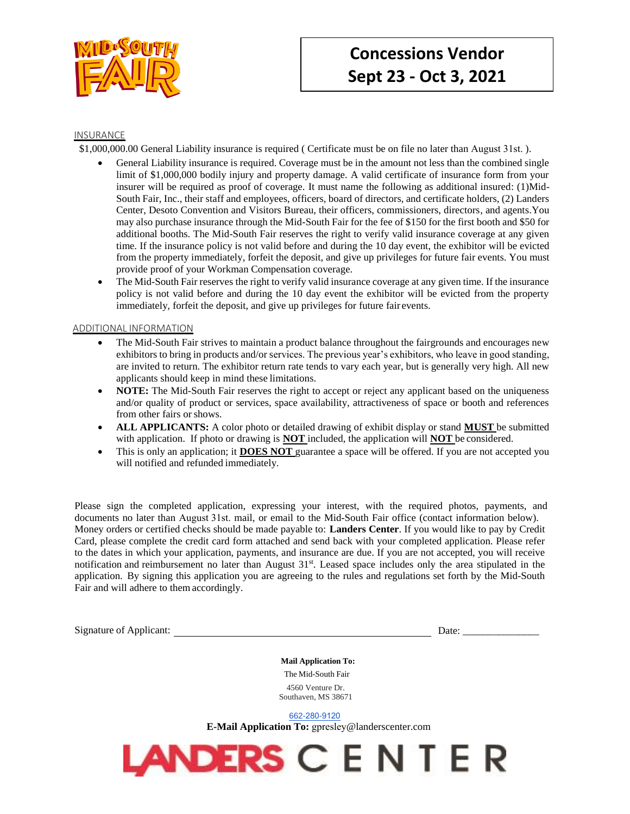

#### INSURANCE

\$1,000,000.00 General Liability insurance is required ( Certificate must be on file no later than August 31st. ).

- General Liability insurance is required. Coverage must be in the amount not less than the combined single limit of \$1,000,000 bodily injury and property damage. A valid certificate of insurance form from your insurer will be required as proof of coverage. It must name the following as additional insured: (1)Mid-South Fair, Inc., their staff and employees, officers, board of directors, and certificate holders, (2) Landers Center, Desoto Convention and Visitors Bureau, their officers, commissioners, directors, and agents.You may also purchase insurance through the Mid-South Fair for the fee of \$150 for the first booth and \$50 for additional booths. The Mid-South Fair reserves the right to verify valid insurance coverage at any given time. If the insurance policy is not valid before and during the 10 day event, the exhibitor will be evicted from the property immediately, forfeit the deposit, and give up privileges for future fair events. You must provide proof of your Workman Compensation coverage.
- The Mid-South Fair reserves the right to verify valid insurance coverage at any given time. If the insurance policy is not valid before and during the 10 day event the exhibitor will be evicted from the property immediately, forfeit the deposit, and give up privileges for future fair events.

#### ADDITIONAL INFORMATION

- The Mid-South Fair strives to maintain a product balance throughout the fairgrounds and encourages new exhibitors to bring in products and/or services. The previous year's exhibitors, who leave in good standing, are invited to return. The exhibitor return rate tends to vary each year, but is generally very high. All new applicants should keep in mind these limitations.
- **NOTE:** The Mid-South Fair reserves the right to accept or reject any applicant based on the uniqueness and/or quality of product or services, space availability, attractiveness of space or booth and references from other fairs or shows.
- **ALL APPLICANTS:** A color photo or detailed drawing of exhibit display or stand **MUST** be submitted with application. If photo or drawing is **NOT** included, the application will **NOT** be considered.
- This is only an application; it **DOES NOT** guarantee a space will be offered. If you are not accepted you will notified and refunded immediately.

Please sign the completed application, expressing your interest, with the required photos, payments, and documents no later than August 31st. mail, or email to the Mid-South Fair office (contact information below). Money orders or certified checks should be made payable to: **Landers Center**. If you would like to pay by Credit Card, please complete the credit card form attached and send back with your completed application. Please refer to the dates in which your application, payments, and insurance are due. If you are not accepted, you will receive notification and reimbursement no later than August 31<sup>st</sup>. Leased space includes only the area stipulated in the application. By signing this application you are agreeing to the rules and regulations set forth by the Mid-South Fair and will adhere to them accordingly.

Signature of Applicant: Date: \_\_\_\_\_\_\_\_\_\_\_\_\_\_\_

**Mail Application To:**  The Mid-South Fair 4560 Venture Dr. Southaven, MS 38671

662-280-[9120](tel:(662)%20470-2102)

**E-Mail Application To:** gpresley@landerscenter.com

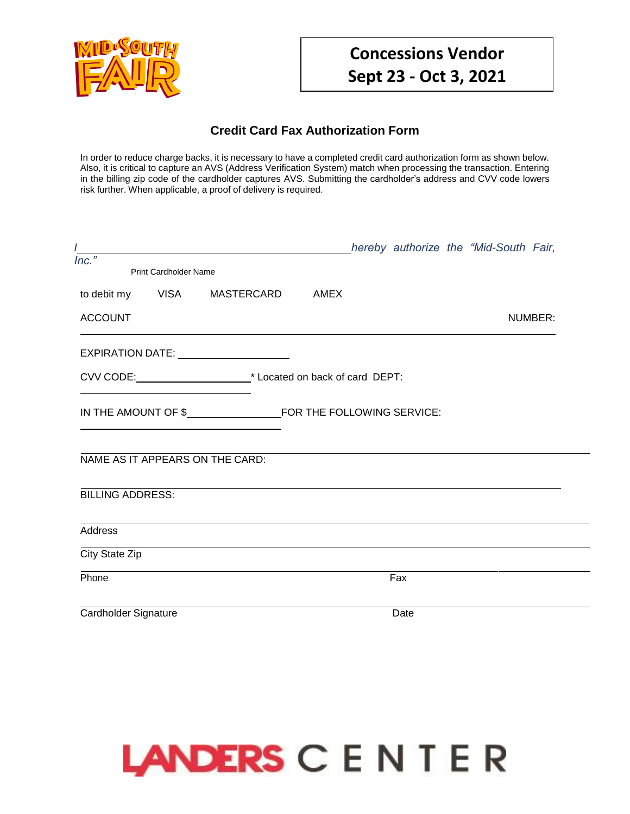

### **Credit Card Fax Authorization Form**

In order to reduce charge backs, it is necessary to have a completed credit card authorization form as shown below. Also, it is critical to capture an AVS (Address Verification System) match when processing the transaction. Entering in the billing zip code of the cardholder captures AVS. Submitting the cardholder's address and CVV code lowers risk further. When applicable, a proof of delivery is required.

|                         |                              |                                                       |  |      | hereby authorize the "Mid-South Fair, |         |
|-------------------------|------------------------------|-------------------------------------------------------|--|------|---------------------------------------|---------|
| $Inc.$ "                | <b>Print Cardholder Name</b> |                                                       |  |      |                                       |         |
| to debit my             |                              | VISA MASTERCARD AMEX                                  |  |      |                                       |         |
| <b>ACCOUNT</b>          |                              |                                                       |  |      |                                       | NUMBER: |
|                         |                              | EXPIRATION DATE: _____________________                |  |      |                                       |         |
|                         |                              | CVV CODE: <u>CVV CODE:</u> CVV CODE: <b>CVV</b> CODE: |  |      |                                       |         |
|                         |                              |                                                       |  |      |                                       |         |
|                         |                              | NAME AS IT APPEARS ON THE CARD:                       |  |      |                                       |         |
| <b>BILLING ADDRESS:</b> |                              |                                                       |  |      |                                       |         |
| <b>Address</b>          |                              |                                                       |  |      |                                       |         |
| City State Zip          |                              |                                                       |  |      |                                       |         |
| Phone                   |                              |                                                       |  | Fax  |                                       |         |
| Cardholder Signature    |                              |                                                       |  | Date |                                       |         |

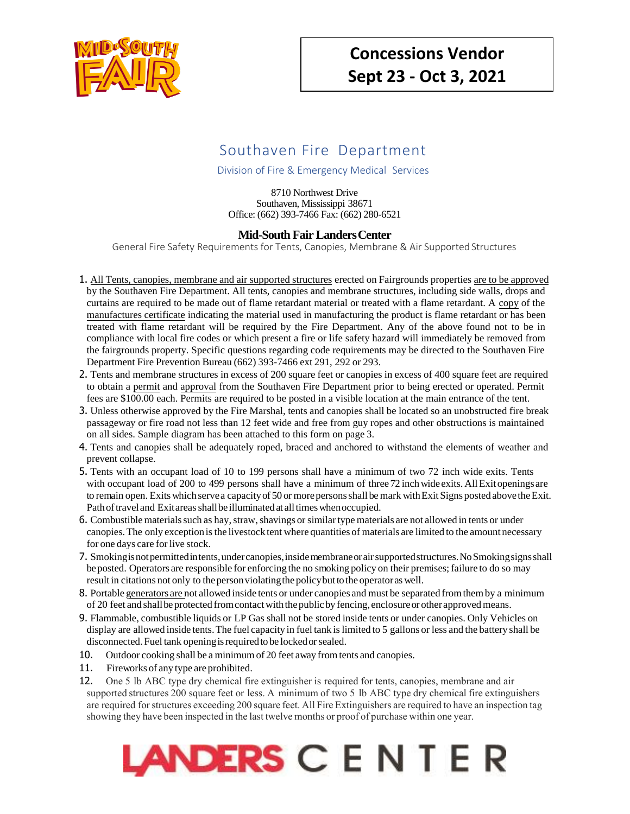

## Southaven Fire Department

Division of Fire & Emergency Medical Services

8710 Northwest Drive Southaven, Mississippi 38671 Office: (662) 393-7466 Fax: (662) 280-6521

#### **Mid-South Fair LandersCenter**

General Fire Safety Requirements for Tents, Canopies, Membrane & Air Supported Structures

- 1. All Tents, canopies, membrane and air supported structures erected on Fairgrounds properties are to be approved by the Southaven Fire Department. All tents, canopies and membrane structures, including side walls, drops and curtains are required to be made out of flame retardant material or treated with a flame retardant. A copy of the manufactures certificate indicating the material used in manufacturing the product is flame retardant or has been treated with flame retardant will be required by the Fire Department. Any of the above found not to be in compliance with local fire codes or which present a fire or life safety hazard will immediately be removed from the fairgrounds property. Specific questions regarding code requirements may be directed to the Southaven Fire Department Fire Prevention Bureau (662) 393-7466 ext 291, 292 or 293.
- 2. Tents and membrane structures in excess of 200 square feet or canopies in excess of 400 square feet are required to obtain a permit and approval from the Southaven Fire Department prior to being erected or operated. Permit fees are \$100.00 each. Permits are required to be posted in a visible location at the main entrance of the tent.
- 3. Unless otherwise approved by the Fire Marshal, tents and canopies shall be located so an unobstructed fire break passageway or fire road not less than 12 feet wide and free from guy ropes and other obstructions is maintained on all sides. Sample diagram has been attached to this form on page 3.
- 4. Tents and canopies shall be adequately roped, braced and anchored to withstand the elements of weather and prevent collapse.
- 5. Tents with an occupant load of 10 to 199 persons shall have a minimum of two 72 inch wide exits. Tents with occupant load of 200 to 499 persons shall have a minimum of three 72 inch wide exits. All Exit openings are to remain open. Exits which serve a capacity of 50 or more persons shall be mark with Exit Signs posted above the Exit. Path of travel and Exit areas shall be illuminated at all times when occupied.
- 6. Combustible materials such as hay, straw, shavings or similar type materials are not allowed in tents or under canopies. The only exception is the livestock tent where quantities of materials are limited to the amount necessary for one days care for live stock.
- 7. Smoking isnot permitted intents, under canopies, inside membrane orair supported structures. NoSmoking signs shall beposted. Operators are responsible for enforcing the no smoking policy on their premises; failure to do so may result in citations not only to the person violating the policy but to the operator as well.
- 8. Portable generators are not allowed inside tents or under canopies and must be separated from them by a minimum of 20 feet and shall be protected from contact with the public by fencing, enclosure or other approved means.
- 9. Flammable, combustible liquids or LP Gas shall not be stored inside tents or under canopies. Only Vehicles on display are allowed inside tents. The fuel capacity in fuel tank is limited to 5 gallons or less and the battery shall be disconnected. Fuel tank opening isrequired to be locked orsealed.
- 10. Outdoor cooking shall be a minimum of 20 feet away from tents and canopies.
- 11. Fireworks of any type are prohibited.
- 12. One 5 lb ABC type dry chemical fire extinguisher is required for tents, canopies, membrane and air supported structures 200 square feet or less. A minimum of two 5 lb ABC type dry chemical fire extinguishers are required for structures exceeding 200 square feet. All Fire Extinguishers are required to have an inspection tag showing they have been inspected in the last twelve months or proof of purchase within one year.

# LANDERS C E N T E R